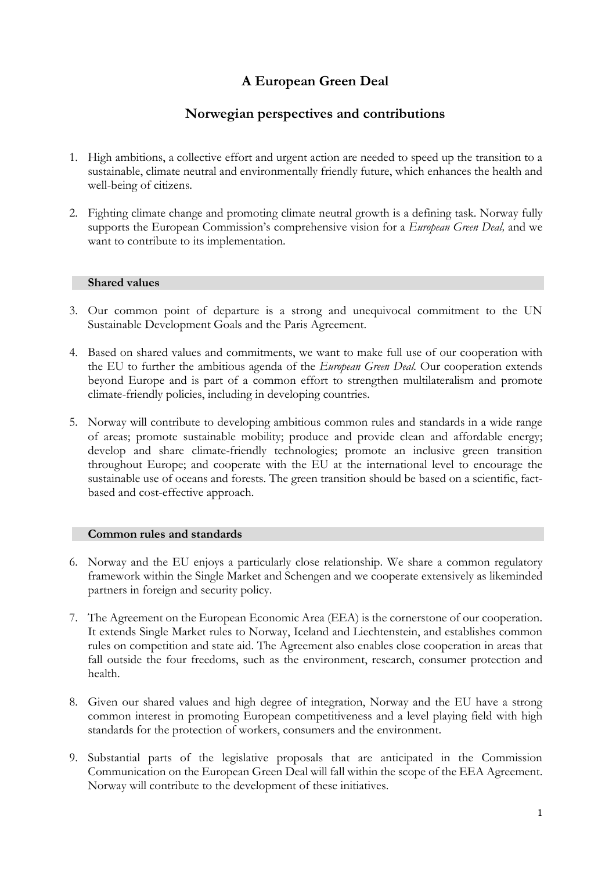# **A European Green Deal**

# **Norwegian perspectives and contributions**

- 1. High ambitions, a collective effort and urgent action are needed to speed up the transition to a sustainable, climate neutral and environmentally friendly future, which enhances the health and well-being of citizens.
- 2. Fighting climate change and promoting climate neutral growth is a defining task. Norway fully supports the European Commission's comprehensive vision for a *European Green Deal,* and we want to contribute to its implementation.

#### **Shared values**

- 3. Our common point of departure is a strong and unequivocal commitment to the UN Sustainable Development Goals and the Paris Agreement.
- 4. Based on shared values and commitments, we want to make full use of our cooperation with the EU to further the ambitious agenda of the *European Green Deal.* Our cooperation extends beyond Europe and is part of a common effort to strengthen multilateralism and promote climate-friendly policies, including in developing countries.
- 5. Norway will contribute to developing ambitious common rules and standards in a wide range of areas; promote sustainable mobility; produce and provide clean and affordable energy; develop and share climate-friendly technologies; promote an inclusive green transition throughout Europe; and cooperate with the EU at the international level to encourage the sustainable use of oceans and forests. The green transition should be based on a scientific, factbased and cost-effective approach.

#### **Common rules and standards**

- 6. Norway and the EU enjoys a particularly close relationship. We share a common regulatory framework within the Single Market and Schengen and we cooperate extensively as likeminded partners in foreign and security policy.
- 7. The Agreement on the European Economic Area (EEA) is the cornerstone of our cooperation. It extends Single Market rules to Norway, Iceland and Liechtenstein, and establishes common rules on competition and state aid. The Agreement also enables close cooperation in areas that fall outside the four freedoms, such as the environment, research, consumer protection and health.
- 8. Given our shared values and high degree of integration, Norway and the EU have a strong common interest in promoting European competitiveness and a level playing field with high standards for the protection of workers, consumers and the environment.
- 9. Substantial parts of the legislative proposals that are anticipated in the Commission Communication on the European Green Deal will fall within the scope of the EEA Agreement. Norway will contribute to the development of these initiatives.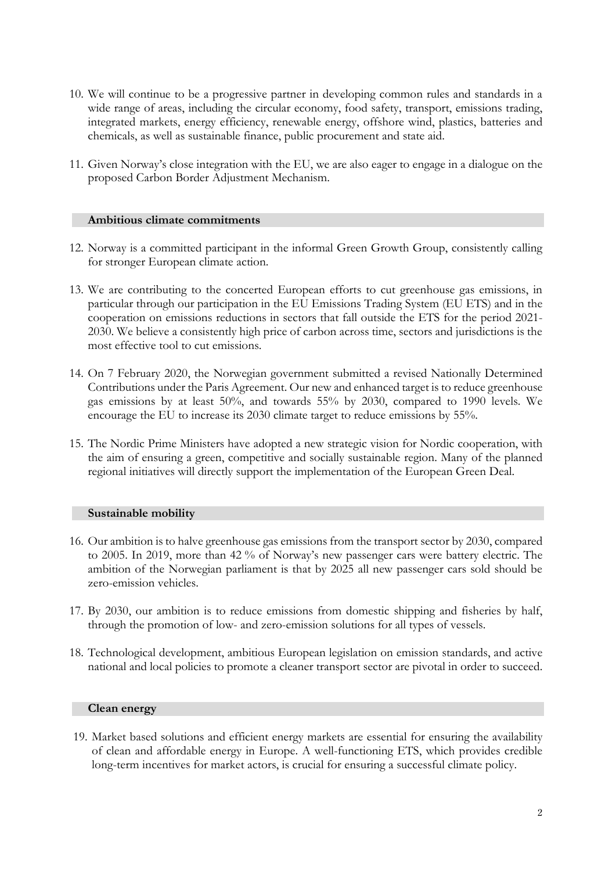- 10. We will continue to be a progressive partner in developing common rules and standards in a wide range of areas, including the circular economy, food safety, transport, emissions trading, integrated markets, energy efficiency, renewable energy, offshore wind, plastics, batteries and chemicals, as well as sustainable finance, public procurement and state aid.
- 11. Given Norway's close integration with the EU, we are also eager to engage in a dialogue on the proposed Carbon Border Adjustment Mechanism.

#### **Ambitious climate commitments**

- 12. Norway is a committed participant in the informal Green Growth Group, consistently calling for stronger European climate action.
- 13. We are contributing to the concerted European efforts to cut greenhouse gas emissions, in particular through our participation in the EU Emissions Trading System (EU ETS) and in the cooperation on emissions reductions in sectors that fall outside the ETS for the period 2021- 2030. We believe a consistently high price of carbon across time, sectors and jurisdictions is the most effective tool to cut emissions.
- 14. On 7 February 2020, the Norwegian government submitted a revised Nationally Determined Contributions under the Paris Agreement. Our new and enhanced target is to reduce greenhouse gas emissions by at least 50%, and towards 55% by 2030, compared to 1990 levels. We encourage the EU to increase its 2030 climate target to reduce emissions by 55%.
- 15. The Nordic Prime Ministers have adopted a new strategic vision for Nordic cooperation, with the aim of ensuring a green, competitive and socially sustainable region. Many of the planned regional initiatives will directly support the implementation of the European Green Deal.

#### **Sustainable mobility**

- 16. Our ambition is to halve greenhouse gas emissions from the transport sector by 2030, compared to 2005. In 2019, more than 42 % of Norway's new passenger cars were battery electric. The ambition of the Norwegian parliament is that by 2025 all new passenger cars sold should be zero-emission vehicles.
- 17. By 2030, our ambition is to reduce emissions from domestic shipping and fisheries by half, through the promotion of low- and zero-emission solutions for all types of vessels.
- 18. Technological development, ambitious European legislation on emission standards, and active national and local policies to promote a cleaner transport sector are pivotal in order to succeed.

#### **Clean energy**

19. Market based solutions and efficient energy markets are essential for ensuring the availability of clean and affordable energy in Europe. A well-functioning ETS, which provides credible long-term incentives for market actors, is crucial for ensuring a successful climate policy.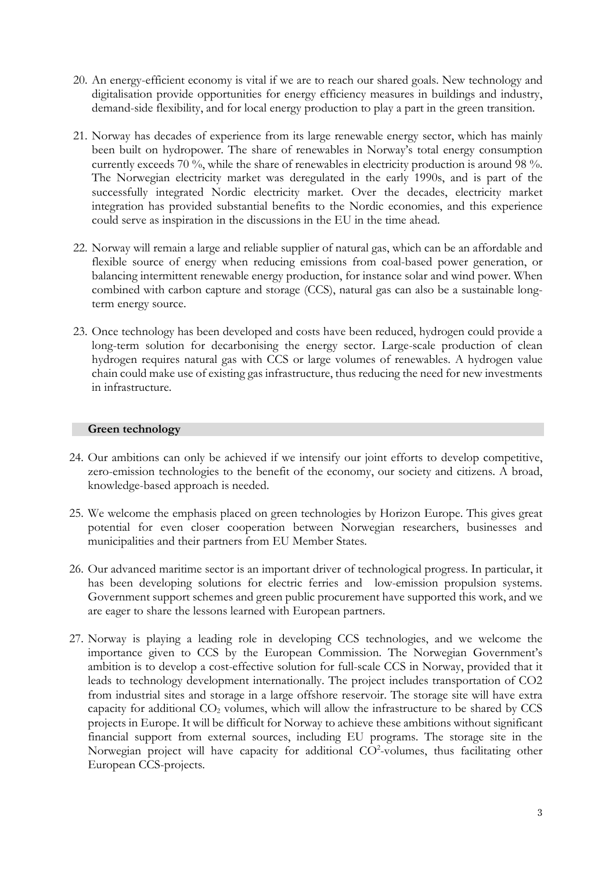- 20. An energy-efficient economy is vital if we are to reach our shared goals. New technology and digitalisation provide opportunities for energy efficiency measures in buildings and industry, demand-side flexibility, and for local energy production to play a part in the green transition.
- 21. Norway has decades of experience from its large renewable energy sector, which has mainly been built on hydropower. The share of renewables in Norway's total energy consumption currently exceeds 70 %, while the share of renewables in electricity production is around 98 %. The Norwegian electricity market was deregulated in the early 1990s, and is part of the successfully integrated Nordic electricity market. Over the decades, electricity market integration has provided substantial benefits to the Nordic economies, and this experience could serve as inspiration in the discussions in the EU in the time ahead.
- 22. Norway will remain a large and reliable supplier of natural gas, which can be an affordable and flexible source of energy when reducing emissions from coal-based power generation, or balancing intermittent renewable energy production, for instance solar and wind power. When combined with carbon capture and storage (CCS), natural gas can also be a sustainable longterm energy source.
- 23. Once technology has been developed and costs have been reduced, hydrogen could provide a long-term solution for decarbonising the energy sector. Large-scale production of clean hydrogen requires natural gas with CCS or large volumes of renewables. A hydrogen value chain could make use of existing gas infrastructure, thus reducing the need for new investments in infrastructure.

## **Green technology**

- 24. Our ambitions can only be achieved if we intensify our joint efforts to develop competitive, zero-emission technologies to the benefit of the economy, our society and citizens. A broad, knowledge-based approach is needed.
- 25. We welcome the emphasis placed on green technologies by Horizon Europe. This gives great potential for even closer cooperation between Norwegian researchers, businesses and municipalities and their partners from EU Member States.
- 26. Our advanced maritime sector is an important driver of technological progress. In particular, it has been developing solutions for electric ferries and low-emission propulsion systems. Government support schemes and green public procurement have supported this work, and we are eager to share the lessons learned with European partners.
- 27. Norway is playing a leading role in developing CCS technologies, and we welcome the importance given to CCS by the European Commission. The Norwegian Government's ambition is to develop a cost-effective solution for full-scale CCS in Norway, provided that it leads to technology development internationally. The project includes transportation of CO2 from industrial sites and storage in a large offshore reservoir. The storage site will have extra capacity for additional  $CO<sub>2</sub>$  volumes, which will allow the infrastructure to be shared by  $CCS$ projects in Europe. It will be difficult for Norway to achieve these ambitions without significant financial support from external sources, including EU programs. The storage site in the Norwegian project will have capacity for additional CO<sup>2</sup>-volumes, thus facilitating other European CCS-projects.